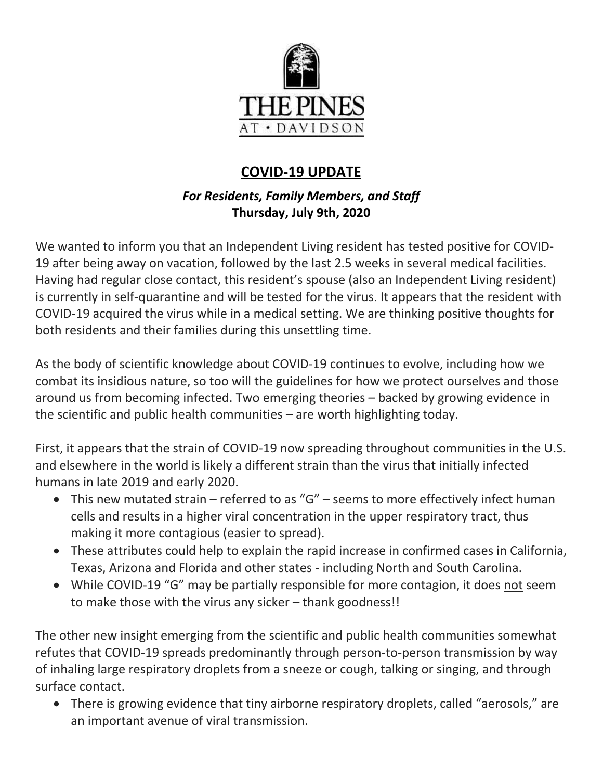

# **COVID-19 UPDATE**

# *For Residents, Family Members, and Staff* **Thursday, July 9th, 2020**

We wanted to inform you that an Independent Living resident has tested positive for COVID-19 after being away on vacation, followed by the last 2.5 weeks in several medical facilities. Having had regular close contact, this resident's spouse (also an Independent Living resident) is currently in self-quarantine and will be tested for the virus. It appears that the resident with COVID-19 acquired the virus while in a medical setting. We are thinking positive thoughts for both residents and their families during this unsettling time.

As the body of scientific knowledge about COVID-19 continues to evolve, including how we combat its insidious nature, so too will the guidelines for how we protect ourselves and those around us from becoming infected. Two emerging theories – backed by growing evidence in the scientific and public health communities – are worth highlighting today.

First, it appears that the strain of COVID-19 now spreading throughout communities in the U.S. and elsewhere in the world is likely a different strain than the virus that initially infected humans in late 2019 and early 2020.

- This new mutated strain referred to as "G" seems to more effectively infect human cells and results in a higher viral concentration in the upper respiratory tract, thus making it more contagious (easier to spread).
- These attributes could help to explain the rapid increase in confirmed cases in California, Texas, Arizona and Florida and other states - including North and South Carolina.
- While COVID-19 "G" may be partially responsible for more contagion, it does not seem to make those with the virus any sicker – thank goodness!!

The other new insight emerging from the scientific and public health communities somewhat refutes that COVID-19 spreads predominantly through person-to-person transmission by way of inhaling large respiratory droplets from a sneeze or cough, talking or singing, and through surface contact.

 There is growing evidence that tiny airborne respiratory droplets, called "aerosols," are an important avenue of viral transmission.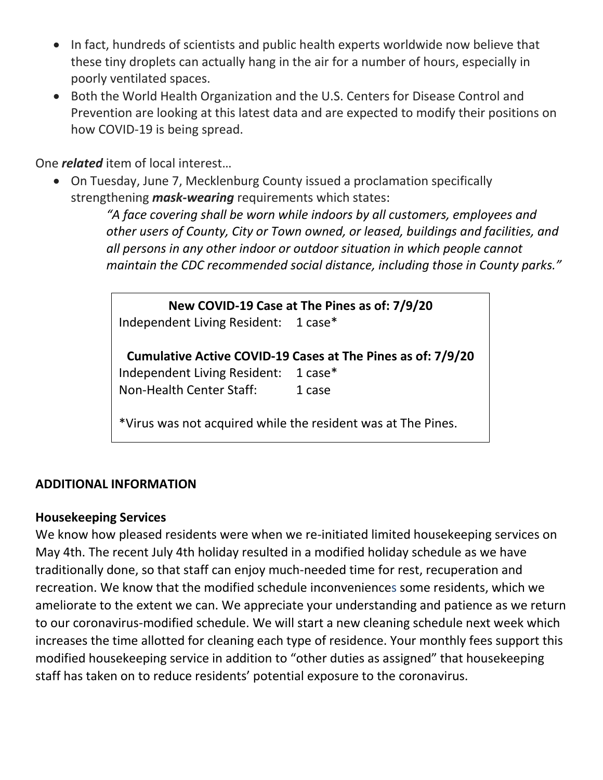- In fact, hundreds of scientists and public health experts worldwide now believe that these tiny droplets can actually hang in the air for a number of hours, especially in poorly ventilated spaces.
- Both the World Health Organization and the U.S. Centers for Disease Control and Prevention are looking at this latest data and are expected to modify their positions on how COVID-19 is being spread.

One *related* item of local interest…

 On Tuesday, June 7, Mecklenburg County issued a proclamation specifically strengthening *mask-wearing* requirements which states:

> *"A face covering shall be worn while indoors by all customers, employees and other users of County, City or Town owned, or leased, buildings and facilities, and all persons in any other indoor or outdoor situation in which people cannot maintain the CDC recommended social distance, including those in County parks."*

**New COVID-19 Case at The Pines as of: 7/9/20** Independent Living Resident: 1 case\* **Cumulative Active COVID-19 Cases at The Pines as of: 7/9/20** Independent Living Resident: 1 case\* Non-Health Center Staff: 1 case

\*Virus was not acquired while the resident was at The Pines.

#### **ADDITIONAL INFORMATION**

#### **Housekeeping Services**

We know how pleased residents were when we re-initiated limited housekeeping services on May 4th. The recent July 4th holiday resulted in a modified holiday schedule as we have traditionally done, so that staff can enjoy much-needed time for rest, recuperation and recreation. We know that the modified schedule inconveniences some residents, which we ameliorate to the extent we can. We appreciate your understanding and patience as we return to our coronavirus-modified schedule. We will start a new cleaning schedule next week which increases the time allotted for cleaning each type of residence. Your monthly fees support this modified housekeeping service in addition to "other duties as assigned" that housekeeping staff has taken on to reduce residents' potential exposure to the coronavirus.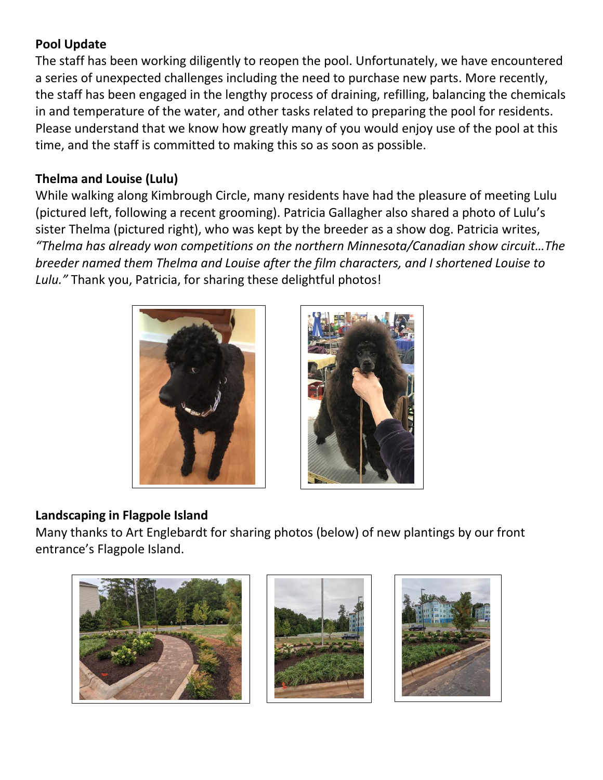## **Pool Update**

The staff has been working diligently to reopen the pool. Unfortunately, we have encountered a series of unexpected challenges including the need to purchase new parts. More recently, the staff has been engaged in the lengthy process of draining, refilling, balancing the chemicals in and temperature of the water, and other tasks related to preparing the pool for residents. Please understand that we know how greatly many of you would enjoy use of the pool at this time, and the staff is committed to making this so as soon as possible.

## **Thelma and Louise (Lulu)**

While walking along Kimbrough Circle, many residents have had the pleasure of meeting Lulu (pictured left, following a recent grooming). Patricia Gallagher also shared a photo of Lulu's sister Thelma (pictured right), who was kept by the breeder as a show dog. Patricia writes, *"Thelma has already won competitions on the northern Minnesota/Canadian show circuit…The breeder named them Thelma and Louise after the film characters, and I shortened Louise to Lulu."* Thank you, Patricia, for sharing these delightful photos!





# **Landscaping in Flagpole Island**

Many thanks to Art Englebardt for sharing photos (below) of new plantings by our front entrance's Flagpole Island.